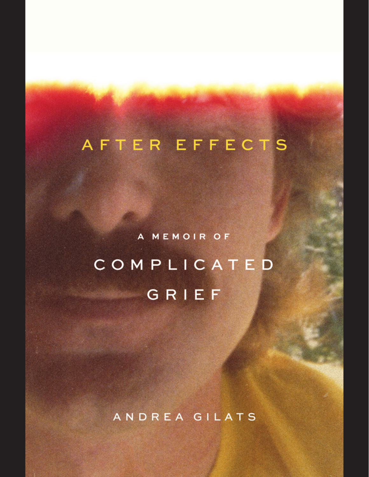# AFTER EFFECTS

A MEMOIR OF COMPLICATED GRIEF

ANDREA GILATS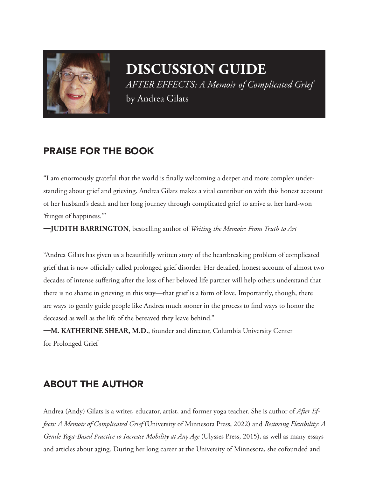

## **DISCUSSION GUIDE** *AFTER EFFECTS: A Memoir of Complicated Grief*

by Andrea Gilats

### PRAISE FOR THE BOOK

"I am enormously grateful that the world is finally welcoming a deeper and more complex understanding about grief and grieving. Andrea Gilats makes a vital contribution with this honest account of her husband's death and her long journey through complicated grief to arrive at her hard-won 'fringes of happiness.'"

**—JUDITH BARRINGTON**, bestselling author of *Writing the Memoir: From Truth to Art*

"Andrea Gilats has given us a beautifully written story of the heartbreaking problem of complicated grief that is now officially called prolonged grief disorder. Her detailed, honest account of almost two decades of intense suffering after the loss of her beloved life partner will help others understand that there is no shame in grieving in this way—that grief is a form of love. Importantly, though, there are ways to gently guide people like Andrea much sooner in the process to find ways to honor the deceased as well as the life of the bereaved they leave behind."

**—M. KATHERINE SHEAR, M.D.**, founder and director, Columbia University Center for Prolonged Grief

#### ABOUT THE AUTHOR

Andrea (Andy) Gilats is a writer, educator, artist, and former yoga teacher. She is author of *After Effects: A Memoir of Complicated Grief* (University of Minnesota Press, 2022) and *Restoring Flexibility: A Gentle Yoga-Based Practice to Increase Mobility at Any Age* (Ulysses Press, 2015), as well as many essays and articles about aging. During her long career at the University of Minnesota, she cofounded and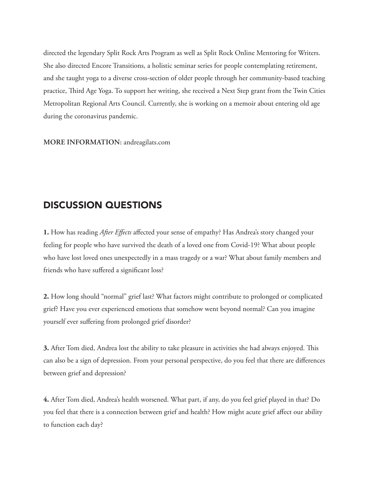directed the legendary Split Rock Arts Program as well as Split Rock Online Mentoring for Writers. She also directed Encore Transitions, a holistic seminar series for people contemplating retirement, and she taught yoga to a diverse cross-section of older people through her community-based teaching practice, Third Age Yoga. To support her writing, she received a Next Step grant from the Twin Cities Metropolitan Regional Arts Council. Currently, she is working on a memoir about entering old age during the coronavirus pandemic.

**MORE INFORMATION:** andreagilats.com

#### DISCUSSION QUESTIONS

**1.** How has reading *After Effects* affected your sense of empathy? Has Andrea's story changed your feeling for people who have survived the death of a loved one from Covid-19? What about people who have lost loved ones unexpectedly in a mass tragedy or a war? What about family members and friends who have suffered a significant loss?

**2.** How long should "normal" grief last? What factors might contribute to prolonged or complicated grief? Have you ever experienced emotions that somehow went beyond normal? Can you imagine yourself ever suffering from prolonged grief disorder?

**3.** After Tom died, Andrea lost the ability to take pleasure in activities she had always enjoyed. This can also be a sign of depression. From your personal perspective, do you feel that there are differences between grief and depression?

**4.** After Tom died, Andrea's health worsened. What part, if any, do you feel grief played in that? Do you feel that there is a connection between grief and health? How might acute grief affect our ability to function each day?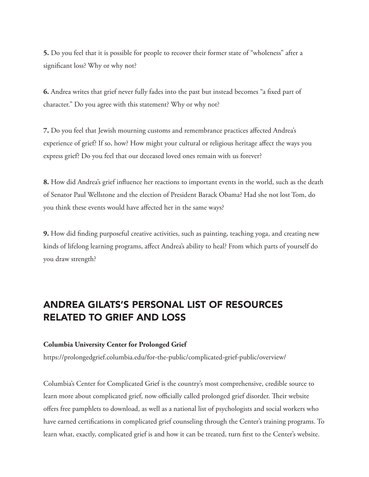**5.** Do you feel that it is possible for people to recover their former state of "wholeness" after a significant loss? Why or why not?

**6.** Andrea writes that grief never fully fades into the past but instead becomes "a fixed part of character." Do you agree with this statement? Why or why not?

**7.** Do you feel that Jewish mourning customs and remembrance practices affected Andrea's experience of grief? If so, how? How might your cultural or religious heritage affect the ways you express grief? Do you feel that our deceased loved ones remain with us forever?

**8.** How did Andrea's grief influence her reactions to important events in the world, such as the death of Senator Paul Wellstone and the election of President Barack Obama? Had she not lost Tom, do you think these events would have affected her in the same ways?

**9.** How did finding purposeful creative activities, such as painting, teaching yoga, and creating new kinds of lifelong learning programs, affect Andrea's ability to heal? From which parts of yourself do you draw strength?

### ANDREA GILATS'S PERSONAL LIST OF RESOURCES RELATED TO GRIEF AND LOSS

#### **Columbia University Center for Prolonged Grief**

https://prolongedgrief.columbia.edu/for-the-public/complicated-grief-public/overview/

Columbia's Center for Complicated Grief is the country's most comprehensive, credible source to learn more about complicated grief, now officially called prolonged grief disorder. Their website offers free pamphlets to download, as well as a national list of psychologists and social workers who have earned certifications in complicated grief counseling through the Center's training programs. To learn what, exactly, complicated grief is and how it can be treated, turn first to the Center's website.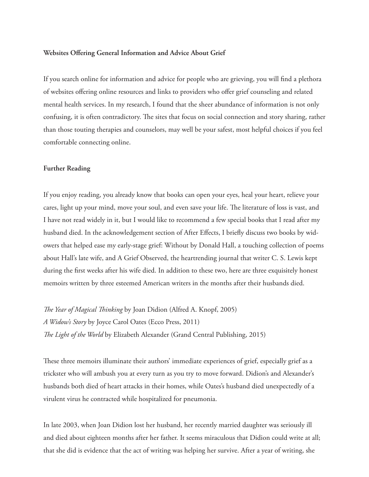#### **Websites Offering General Information and Advice About Grief**

If you search online for information and advice for people who are grieving, you will find a plethora of websites offering online resources and links to providers who offer grief counseling and related mental health services. In my research, I found that the sheer abundance of information is not only confusing, it is often contradictory. The sites that focus on social connection and story sharing, rather than those touting therapies and counselors, may well be your safest, most helpful choices if you feel comfortable connecting online.

#### **Further Reading**

If you enjoy reading, you already know that books can open your eyes, heal your heart, relieve your cares, light up your mind, move your soul, and even save your life. The literature of loss is vast, and I have not read widely in it, but I would like to recommend a few special books that I read after my husband died. In the acknowledgement section of After Effects, I briefly discuss two books by widowers that helped ease my early-stage grief: Without by Donald Hall, a touching collection of poems about Hall's late wife, and A Grief Observed, the heartrending journal that writer C. S. Lewis kept during the first weeks after his wife died. In addition to these two, here are three exquisitely honest memoirs written by three esteemed American writers in the months after their husbands died.

*The Year of Magical Thinking* by Joan Didion (Alfred A. Knopf, 2005) *A Widow's Story* by Joyce Carol Oates (Ecco Press, 2011) *The Light of the World* by Elizabeth Alexander (Grand Central Publishing, 2015)

These three memoirs illuminate their authors' immediate experiences of grief, especially grief as a trickster who will ambush you at every turn as you try to move forward. Didion's and Alexander's husbands both died of heart attacks in their homes, while Oates's husband died unexpectedly of a virulent virus he contracted while hospitalized for pneumonia.

In late 2003, when Joan Didion lost her husband, her recently married daughter was seriously ill and died about eighteen months after her father. It seems miraculous that Didion could write at all; that she did is evidence that the act of writing was helping her survive. After a year of writing, she